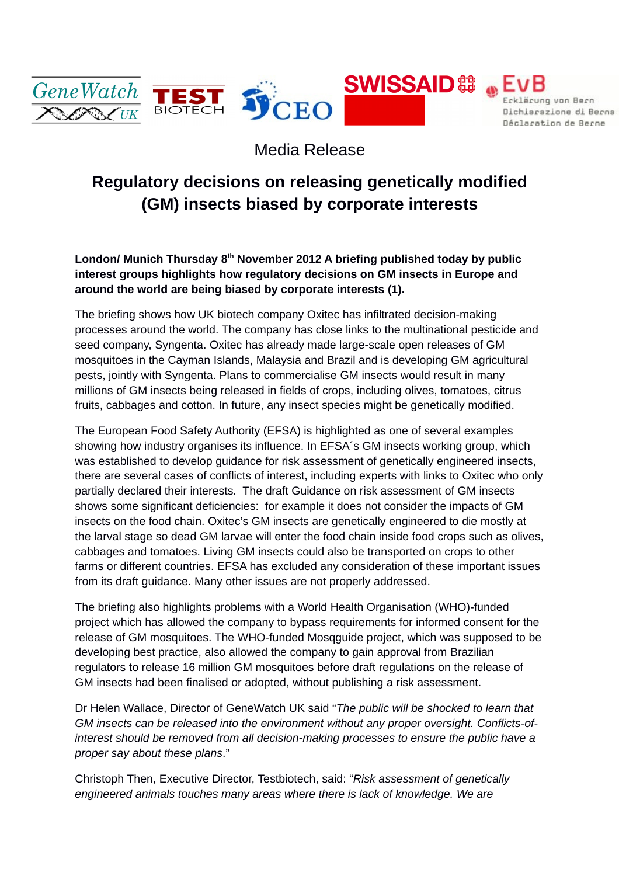

## Media Release

## **Regulatory decisions on releasing genetically modified (GM) insects biased by corporate interests**

**London/ Munich Thursday 8th November 2012 A briefing published today by public interest groups highlights how regulatory decisions on GM insects in Europe and around the world are being biased by corporate interests (1).**

The briefing shows how UK biotech company Oxitec has infiltrated decision-making processes around the world. The company has close links to the multinational pesticide and seed company, Syngenta. Oxitec has already made large-scale open releases of GM mosquitoes in the Cayman Islands, Malaysia and Brazil and is developing GM agricultural pests, jointly with Syngenta. Plans to commercialise GM insects would result in many millions of GM insects being released in fields of crops, including olives, tomatoes, citrus fruits, cabbages and cotton. In future, any insect species might be genetically modified.

The European Food Safety Authority (EFSA) is highlighted as one of several examples showing how industry organises its influence. In EFSA´s GM insects working group, which was established to develop guidance for risk assessment of genetically engineered insects, there are several cases of conflicts of interest, including experts with links to Oxitec who only partially declared their interests. The draft Guidance on risk assessment of GM insects shows some significant deficiencies: for example it does not consider the impacts of GM insects on the food chain. Oxitec's GM insects are genetically engineered to die mostly at the larval stage so dead GM larvae will enter the food chain inside food crops such as olives, cabbages and tomatoes. Living GM insects could also be transported on crops to other farms or different countries. EFSA has excluded any consideration of these important issues from its draft guidance. Many other issues are not properly addressed.

The briefing also highlights problems with a World Health Organisation (WHO)-funded project which has allowed the company to bypass requirements for informed consent for the release of GM mosquitoes. The WHO-funded Mosqguide project, which was supposed to be developing best practice, also allowed the company to gain approval from Brazilian regulators to release 16 million GM mosquitoes before draft regulations on the release of GM insects had been finalised or adopted, without publishing a risk assessment.

Dr Helen Wallace, Director of GeneWatch UK said "*The public will be shocked to learn that GM insects can be released into the environment without any proper oversight. Conflicts-ofinterest should be removed from all decision-making processes to ensure the public have a proper say about these plans*."

Christoph Then, Executive Director, Testbiotech, said: "*Risk assessment of genetically engineered animals touches many areas where there is lack of knowledge. We are*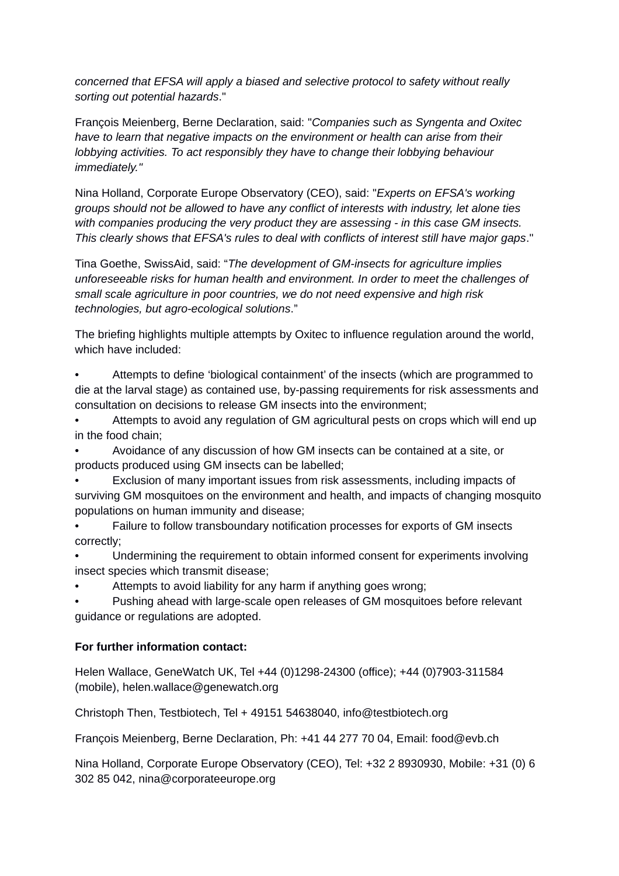*concerned that EFSA will apply a biased and selective protocol to safety without really sorting out potential hazards*."

François Meienberg, Berne Declaration, said: "*Companies such as Syngenta and Oxitec have to learn that negative impacts on the environment or health can arise from their lobbying activities. To act responsibly they have to change their lobbying behaviour immediately."*

Nina Holland, Corporate Europe Observatory (CEO), said: "*Experts on EFSA's working groups should not be allowed to have any conflict of interests with industry, let alone ties with companies producing the very product they are assessing - in this case GM insects. This clearly shows that EFSA's rules to deal with conflicts of interest still have major gaps*."

Tina Goethe, SwissAid, said: "*The development of GM-insects for agriculture implies unforeseeable risks for human health and environment. In order to meet the challenges of small scale agriculture in poor countries, we do not need expensive and high risk technologies, but agro-ecological solutions*."

The briefing highlights multiple attempts by Oxitec to influence regulation around the world, which have included:

• Attempts to define 'biological containment' of the insects (which are programmed to die at the larval stage) as contained use, by-passing requirements for risk assessments and consultation on decisions to release GM insects into the environment;

• Attempts to avoid any regulation of GM agricultural pests on crops which will end up in the food chain;

• Avoidance of any discussion of how GM insects can be contained at a site, or products produced using GM insects can be labelled;

• Exclusion of many important issues from risk assessments, including impacts of surviving GM mosquitoes on the environment and health, and impacts of changing mosquito populations on human immunity and disease;

• Failure to follow transboundary notification processes for exports of GM insects correctly;

• Undermining the requirement to obtain informed consent for experiments involving insect species which transmit disease;

• Attempts to avoid liability for any harm if anything goes wrong;

• Pushing ahead with large-scale open releases of GM mosquitoes before relevant guidance or regulations are adopted.

## **For further information contact:**

Helen Wallace, GeneWatch UK, Tel +44 (0)1298-24300 (office); +44 (0)7903-311584 (mobile), helen.wallace@genewatch.org

Christoph Then, Testbiotech, Tel + 49151 54638040, info@testbiotech.org

François Meienberg, Berne Declaration, Ph: +41 44 277 70 04, Email: food@evb.ch

Nina Holland, Corporate Europe Observatory (CEO), Tel: +32 2 8930930, Mobile: +31 (0) 6 302 85 042, nina@corporateeurope.org